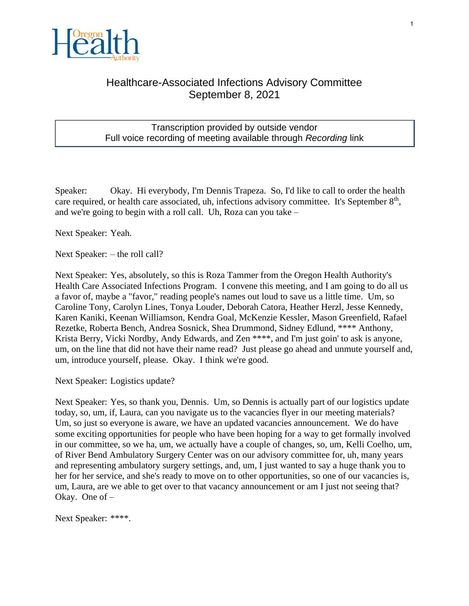

## Healthcare-Associated Infections Advisory Committee September 8, 2021

## Transcription provided by outside vendor Full voice recording of meeting available through *Recording* link

Speaker: Okay. Hi everybody, I'm Dennis Trapeza. So, I'd like to call to order the health care required, or health care associated, uh, infections advisory committee. It's September  $8<sup>th</sup>$ , and we're going to begin with a roll call. Uh, Roza can you take –

Next Speaker: Yeah.

Next Speaker: – the roll call?

Next Speaker: Yes, absolutely, so this is Roza Tammer from the Oregon Health Authority's Health Care Associated Infections Program. I convene this meeting, and I am going to do all us a favor of, maybe a "favor," reading people's names out loud to save us a little time. Um, so Caroline Tony, Carolyn Lines, Tonya Louder, Deborah Catora, Heather Herzl, Jesse Kennedy, Karen Kaniki, Keenan Williamson, Kendra Goal, McKenzie Kessler, Mason Greenfield, Rafael Rezetke, Roberta Bench, Andrea Sosnick, Shea Drummond, Sidney Edlund, \*\*\*\* Anthony, Krista Berry, Vicki Nordby, Andy Edwards, and Zen \*\*\*\*, and I'm just goin' to ask is anyone, um, on the line that did not have their name read? Just please go ahead and unmute yourself and, um, introduce yourself, please. Okay. I think we're good.

Next Speaker: Logistics update?

Next Speaker: Yes, so thank you, Dennis. Um, so Dennis is actually part of our logistics update today, so, um, if, Laura, can you navigate us to the vacancies flyer in our meeting materials? Um, so just so everyone is aware, we have an updated vacancies announcement. We do have some exciting opportunities for people who have been hoping for a way to get formally involved in our committee, so we ha, um, we actually have a couple of changes, so, um, Kelli Coelho, um, of River Bend Ambulatory Surgery Center was on our advisory committee for, uh, many years and representing ambulatory surgery settings, and, um, I just wanted to say a huge thank you to her for her service, and she's ready to move on to other opportunities, so one of our vacancies is, um, Laura, are we able to get over to that vacancy announcement or am I just not seeing that? Okay. One of –

Next Speaker: \*\*\*\*.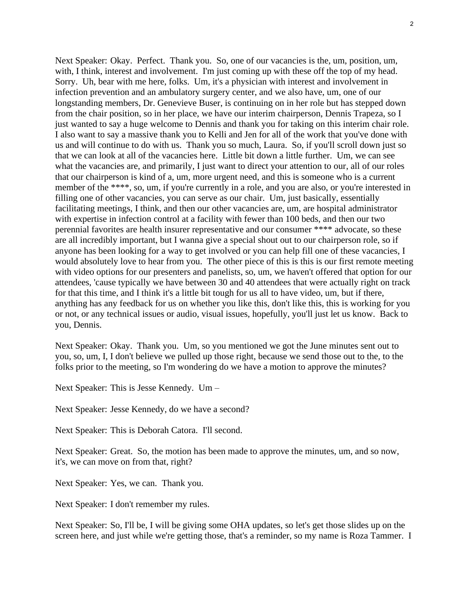Next Speaker: Okay. Perfect. Thank you. So, one of our vacancies is the, um, position, um, with, I think, interest and involvement. I'm just coming up with these off the top of my head. Sorry. Uh, bear with me here, folks. Um, it's a physician with interest and involvement in infection prevention and an ambulatory surgery center, and we also have, um, one of our longstanding members, Dr. Genevieve Buser, is continuing on in her role but has stepped down from the chair position, so in her place, we have our interim chairperson, Dennis Trapeza, so I just wanted to say a huge welcome to Dennis and thank you for taking on this interim chair role. I also want to say a massive thank you to Kelli and Jen for all of the work that you've done with us and will continue to do with us. Thank you so much, Laura. So, if you'll scroll down just so that we can look at all of the vacancies here. Little bit down a little further. Um, we can see what the vacancies are, and primarily, I just want to direct your attention to our, all of our roles that our chairperson is kind of a, um, more urgent need, and this is someone who is a current member of the \*\*\*\*, so, um, if you're currently in a role, and you are also, or you're interested in filling one of other vacancies, you can serve as our chair. Um, just basically, essentially facilitating meetings, I think, and then our other vacancies are, um, are hospital administrator with expertise in infection control at a facility with fewer than 100 beds, and then our two perennial favorites are health insurer representative and our consumer \*\*\*\* advocate, so these are all incredibly important, but I wanna give a special shout out to our chairperson role, so if anyone has been looking for a way to get involved or you can help fill one of these vacancies, I would absolutely love to hear from you. The other piece of this is this is our first remote meeting with video options for our presenters and panelists, so, um, we haven't offered that option for our attendees, 'cause typically we have between 30 and 40 attendees that were actually right on track for that this time, and I think it's a little bit tough for us all to have video, um, but if there, anything has any feedback for us on whether you like this, don't like this, this is working for you or not, or any technical issues or audio, visual issues, hopefully, you'll just let us know. Back to you, Dennis.

Next Speaker: Okay. Thank you. Um, so you mentioned we got the June minutes sent out to you, so, um, I, I don't believe we pulled up those right, because we send those out to the, to the folks prior to the meeting, so I'm wondering do we have a motion to approve the minutes?

Next Speaker: This is Jesse Kennedy. Um –

Next Speaker: Jesse Kennedy, do we have a second?

Next Speaker: This is Deborah Catora. I'll second.

Next Speaker: Great. So, the motion has been made to approve the minutes, um, and so now, it's, we can move on from that, right?

Next Speaker: Yes, we can. Thank you.

Next Speaker: I don't remember my rules.

Next Speaker: So, I'll be, I will be giving some OHA updates, so let's get those slides up on the screen here, and just while we're getting those, that's a reminder, so my name is Roza Tammer. I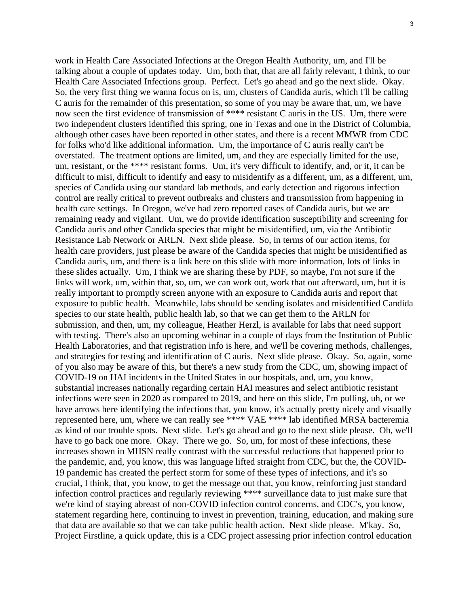work in Health Care Associated Infections at the Oregon Health Authority, um, and I'll be talking about a couple of updates today. Um, both that, that are all fairly relevant, I think, to our Health Care Associated Infections group. Perfect. Let's go ahead and go the next slide. Okay. So, the very first thing we wanna focus on is, um, clusters of Candida auris, which I'll be calling C auris for the remainder of this presentation, so some of you may be aware that, um, we have now seen the first evidence of transmission of \*\*\*\* resistant C auris in the US. Um, there were two independent clusters identified this spring, one in Texas and one in the District of Columbia, although other cases have been reported in other states, and there is a recent MMWR from CDC for folks who'd like additional information. Um, the importance of C auris really can't be overstated. The treatment options are limited, um, and they are especially limited for the use, um, resistant, or the \*\*\*\* resistant forms. Um, it's very difficult to identify, and, or it, it can be difficult to misi, difficult to identify and easy to misidentify as a different, um, as a different, um, species of Candida using our standard lab methods, and early detection and rigorous infection control are really critical to prevent outbreaks and clusters and transmission from happening in health care settings. In Oregon, we've had zero reported cases of Candida auris, but we are remaining ready and vigilant. Um, we do provide identification susceptibility and screening for Candida auris and other Candida species that might be misidentified, um, via the Antibiotic Resistance Lab Network or ARLN. Next slide please. So, in terms of our action items, for health care providers, just please be aware of the Candida species that might be misidentified as Candida auris, um, and there is a link here on this slide with more information, lots of links in these slides actually. Um, I think we are sharing these by PDF, so maybe, I'm not sure if the links will work, um, within that, so, um, we can work out, work that out afterward, um, but it is really important to promptly screen anyone with an exposure to Candida auris and report that exposure to public health. Meanwhile, labs should be sending isolates and misidentified Candida species to our state health, public health lab, so that we can get them to the ARLN for submission, and then, um, my colleague, Heather Herzl, is available for labs that need support with testing. There's also an upcoming webinar in a couple of days from the Institution of Public Health Laboratories, and that registration info is here, and we'll be covering methods, challenges, and strategies for testing and identification of C auris. Next slide please. Okay. So, again, some of you also may be aware of this, but there's a new study from the CDC, um, showing impact of COVID-19 on HAI incidents in the United States in our hospitals, and, um, you know, substantial increases nationally regarding certain HAI measures and select antibiotic resistant infections were seen in 2020 as compared to 2019, and here on this slide, I'm pulling, uh, or we have arrows here identifying the infections that, you know, it's actually pretty nicely and visually represented here, um, where we can really see \*\*\*\* VAE \*\*\*\* lab identified MRSA bacteremia as kind of our trouble spots. Next slide. Let's go ahead and go to the next slide please. Oh, we'll have to go back one more. Okay. There we go. So, um, for most of these infections, these increases shown in MHSN really contrast with the successful reductions that happened prior to the pandemic, and, you know, this was language lifted straight from CDC, but the, the COVID-19 pandemic has created the perfect storm for some of these types of infections, and it's so crucial, I think, that, you know, to get the message out that, you know, reinforcing just standard infection control practices and regularly reviewing \*\*\*\* surveillance data to just make sure that we're kind of staying abreast of non-COVID infection control concerns, and CDC's, you know, statement regarding here, continuing to invest in prevention, training, education, and making sure that data are available so that we can take public health action. Next slide please. M'kay. So, Project Firstline, a quick update, this is a CDC project assessing prior infection control education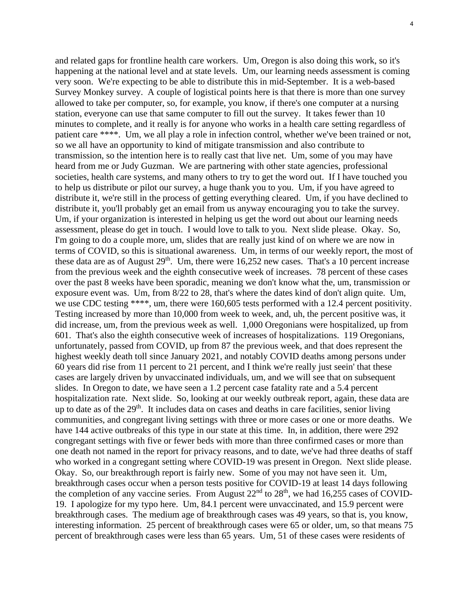and related gaps for frontline health care workers. Um, Oregon is also doing this work, so it's happening at the national level and at state levels. Um, our learning needs assessment is coming very soon. We're expecting to be able to distribute this in mid-September. It is a web-based Survey Monkey survey. A couple of logistical points here is that there is more than one survey allowed to take per computer, so, for example, you know, if there's one computer at a nursing station, everyone can use that same computer to fill out the survey. It takes fewer than 10 minutes to complete, and it really is for anyone who works in a health care setting regardless of patient care \*\*\*\*. Um, we all play a role in infection control, whether we've been trained or not, so we all have an opportunity to kind of mitigate transmission and also contribute to transmission, so the intention here is to really cast that live net. Um, some of you may have heard from me or Judy Guzman. We are partnering with other state agencies, professional societies, health care systems, and many others to try to get the word out. If I have touched you to help us distribute or pilot our survey, a huge thank you to you. Um, if you have agreed to distribute it, we're still in the process of getting everything cleared. Um, if you have declined to distribute it, you'll probably get an email from us anyway encouraging you to take the survey. Um, if your organization is interested in helping us get the word out about our learning needs assessment, please do get in touch. I would love to talk to you. Next slide please. Okay. So, I'm going to do a couple more, um, slides that are really just kind of on where we are now in terms of COVID, so this is situational awareness. Um, in terms of our weekly report, the most of these data are as of August  $29<sup>th</sup>$ . Um, there were 16,252 new cases. That's a 10 percent increase from the previous week and the eighth consecutive week of increases. 78 percent of these cases over the past 8 weeks have been sporadic, meaning we don't know what the, um, transmission or exposure event was. Um, from 8/22 to 28, that's where the dates kind of don't align quite. Um, we use CDC testing \*\*\*\*, um, there were 160,605 tests performed with a 12.4 percent positivity. Testing increased by more than 10,000 from week to week, and, uh, the percent positive was, it did increase, um, from the previous week as well. 1,000 Oregonians were hospitalized, up from 601. That's also the eighth consecutive week of increases of hospitalizations. 119 Oregonians, unfortunately, passed from COVID, up from 87 the previous week, and that does represent the highest weekly death toll since January 2021, and notably COVID deaths among persons under 60 years did rise from 11 percent to 21 percent, and I think we're really just seein' that these cases are largely driven by unvaccinated individuals, um, and we will see that on subsequent slides. In Oregon to date, we have seen a 1.2 percent case fatality rate and a 5.4 percent hospitalization rate. Next slide. So, looking at our weekly outbreak report, again, these data are up to date as of the  $29<sup>th</sup>$ . It includes data on cases and deaths in care facilities, senior living communities, and congregant living settings with three or more cases or one or more deaths. We have 144 active outbreaks of this type in our state at this time. In, in addition, there were 292 congregant settings with five or fewer beds with more than three confirmed cases or more than one death not named in the report for privacy reasons, and to date, we've had three deaths of staff who worked in a congregant setting where COVID-19 was present in Oregon. Next slide please. Okay. So, our breakthrough report is fairly new. Some of you may not have seen it. Um, breakthrough cases occur when a person tests positive for COVID-19 at least 14 days following the completion of any vaccine series. From August  $22<sup>nd</sup>$  to  $28<sup>th</sup>$ , we had 16,255 cases of COVID-19. I apologize for my typo here. Um, 84.1 percent were unvaccinated, and 15.9 percent were breakthrough cases. The medium age of breakthrough cases was 49 years, so that is, you know, interesting information. 25 percent of breakthrough cases were 65 or older, um, so that means 75 percent of breakthrough cases were less than 65 years. Um, 51 of these cases were residents of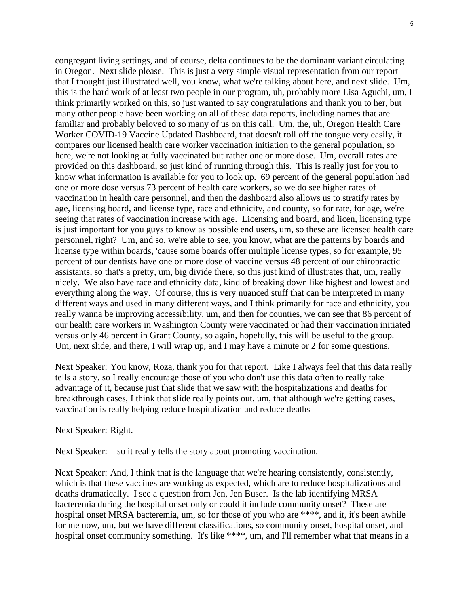congregant living settings, and of course, delta continues to be the dominant variant circulating in Oregon. Next slide please. This is just a very simple visual representation from our report that I thought just illustrated well, you know, what we're talking about here, and next slide. Um, this is the hard work of at least two people in our program, uh, probably more Lisa Aguchi, um, I think primarily worked on this, so just wanted to say congratulations and thank you to her, but many other people have been working on all of these data reports, including names that are familiar and probably beloved to so many of us on this call. Um, the, uh, Oregon Health Care Worker COVID-19 Vaccine Updated Dashboard, that doesn't roll off the tongue very easily, it compares our licensed health care worker vaccination initiation to the general population, so here, we're not looking at fully vaccinated but rather one or more dose. Um, overall rates are provided on this dashboard, so just kind of running through this. This is really just for you to know what information is available for you to look up. 69 percent of the general population had one or more dose versus 73 percent of health care workers, so we do see higher rates of vaccination in health care personnel, and then the dashboard also allows us to stratify rates by age, licensing board, and license type, race and ethnicity, and county, so for rate, for age, we're seeing that rates of vaccination increase with age. Licensing and board, and licen, licensing type is just important for you guys to know as possible end users, um, so these are licensed health care personnel, right? Um, and so, we're able to see, you know, what are the patterns by boards and license type within boards, 'cause some boards offer multiple license types, so for example, 95 percent of our dentists have one or more dose of vaccine versus 48 percent of our chiropractic assistants, so that's a pretty, um, big divide there, so this just kind of illustrates that, um, really nicely. We also have race and ethnicity data, kind of breaking down like highest and lowest and everything along the way. Of course, this is very nuanced stuff that can be interpreted in many different ways and used in many different ways, and I think primarily for race and ethnicity, you really wanna be improving accessibility, um, and then for counties, we can see that 86 percent of our health care workers in Washington County were vaccinated or had their vaccination initiated versus only 46 percent in Grant County, so again, hopefully, this will be useful to the group. Um, next slide, and there, I will wrap up, and I may have a minute or 2 for some questions.

Next Speaker: You know, Roza, thank you for that report. Like I always feel that this data really tells a story, so I really encourage those of you who don't use this data often to really take advantage of it, because just that slide that we saw with the hospitalizations and deaths for breakthrough cases, I think that slide really points out, um, that although we're getting cases, vaccination is really helping reduce hospitalization and reduce deaths –

Next Speaker: Right.

Next Speaker: – so it really tells the story about promoting vaccination.

Next Speaker: And, I think that is the language that we're hearing consistently, consistently, which is that these vaccines are working as expected, which are to reduce hospitalizations and deaths dramatically. I see a question from Jen, Jen Buser. Is the lab identifying MRSA bacteremia during the hospital onset only or could it include community onset? These are hospital onset MRSA bacteremia, um, so for those of you who are \*\*\*\*, and it, it's been awhile for me now, um, but we have different classifications, so community onset, hospital onset, and hospital onset community something. It's like \*\*\*\*, um, and I'll remember what that means in a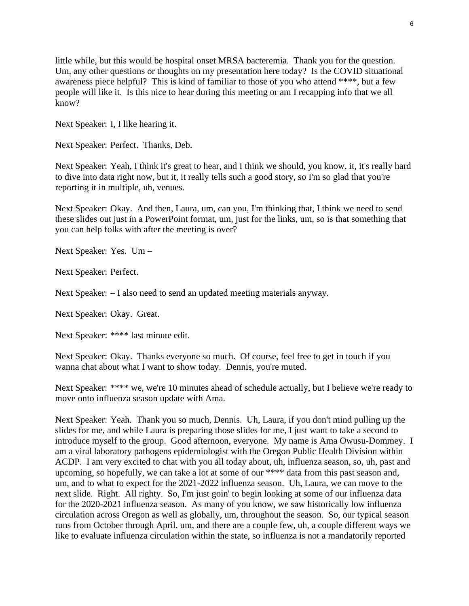little while, but this would be hospital onset MRSA bacteremia. Thank you for the question. Um, any other questions or thoughts on my presentation here today? Is the COVID situational awareness piece helpful? This is kind of familiar to those of you who attend \*\*\*\*, but a few people will like it. Is this nice to hear during this meeting or am I recapping info that we all know?

Next Speaker: I, I like hearing it.

Next Speaker: Perfect. Thanks, Deb.

Next Speaker: Yeah, I think it's great to hear, and I think we should, you know, it, it's really hard to dive into data right now, but it, it really tells such a good story, so I'm so glad that you're reporting it in multiple, uh, venues.

Next Speaker: Okay. And then, Laura, um, can you, I'm thinking that, I think we need to send these slides out just in a PowerPoint format, um, just for the links, um, so is that something that you can help folks with after the meeting is over?

Next Speaker: Yes. Um –

Next Speaker: Perfect.

Next Speaker: – I also need to send an updated meeting materials anyway.

Next Speaker: Okay. Great.

Next Speaker: \*\*\*\* last minute edit.

Next Speaker: Okay. Thanks everyone so much. Of course, feel free to get in touch if you wanna chat about what I want to show today. Dennis, you're muted.

Next Speaker: \*\*\*\* we, we're 10 minutes ahead of schedule actually, but I believe we're ready to move onto influenza season update with Ama.

Next Speaker: Yeah. Thank you so much, Dennis. Uh, Laura, if you don't mind pulling up the slides for me, and while Laura is preparing those slides for me, I just want to take a second to introduce myself to the group. Good afternoon, everyone. My name is Ama Owusu-Dommey. I am a viral laboratory pathogens epidemiologist with the Oregon Public Health Division within ACDP. I am very excited to chat with you all today about, uh, influenza season, so, uh, past and upcoming, so hopefully, we can take a lot at some of our \*\*\*\* data from this past season and, um, and to what to expect for the 2021-2022 influenza season. Uh, Laura, we can move to the next slide. Right. All righty. So, I'm just goin' to begin looking at some of our influenza data for the 2020-2021 influenza season. As many of you know, we saw historically low influenza circulation across Oregon as well as globally, um, throughout the season. So, our typical season runs from October through April, um, and there are a couple few, uh, a couple different ways we like to evaluate influenza circulation within the state, so influenza is not a mandatorily reported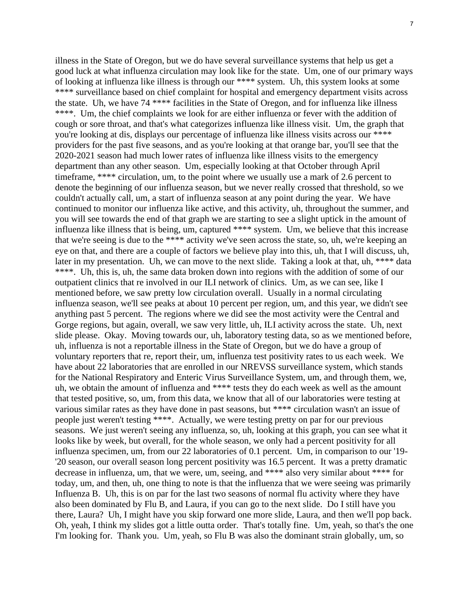illness in the State of Oregon, but we do have several surveillance systems that help us get a good luck at what influenza circulation may look like for the state. Um, one of our primary ways of looking at influenza like illness is through our \*\*\*\* system. Uh, this system looks at some \*\*\*\* surveillance based on chief complaint for hospital and emergency department visits across the state. Uh, we have 74 \*\*\*\* facilities in the State of Oregon, and for influenza like illness \*\*\*\*. Um, the chief complaints we look for are either influenza or fever with the addition of cough or sore throat, and that's what categorizes influenza like illness visit. Um, the graph that you're looking at dis, displays our percentage of influenza like illness visits across our \*\*\*\* providers for the past five seasons, and as you're looking at that orange bar, you'll see that the 2020-2021 season had much lower rates of influenza like illness visits to the emergency department than any other season. Um, especially looking at that October through April timeframe, \*\*\*\* circulation, um, to the point where we usually use a mark of 2.6 percent to denote the beginning of our influenza season, but we never really crossed that threshold, so we couldn't actually call, um, a start of influenza season at any point during the year. We have continued to monitor our influenza like active, and this activity, uh, throughout the summer, and you will see towards the end of that graph we are starting to see a slight uptick in the amount of influenza like illness that is being, um, captured \*\*\*\* system. Um, we believe that this increase that we're seeing is due to the \*\*\*\* activity we've seen across the state, so, uh, we're keeping an eye on that, and there are a couple of factors we believe play into this, uh, that I will discuss, uh, later in my presentation. Uh, we can move to the next slide. Taking a look at that, uh, \*\*\*\* data \*\*\*\*. Uh, this is, uh, the same data broken down into regions with the addition of some of our outpatient clinics that re involved in our ILI network of clinics. Um, as we can see, like I mentioned before, we saw pretty low circulation overall. Usually in a normal circulating influenza season, we'll see peaks at about 10 percent per region, um, and this year, we didn't see anything past 5 percent. The regions where we did see the most activity were the Central and Gorge regions, but again, overall, we saw very little, uh, ILI activity across the state. Uh, next slide please. Okay. Moving towards our, uh, laboratory testing data, so as we mentioned before, uh, influenza is not a reportable illness in the State of Oregon, but we do have a group of voluntary reporters that re, report their, um, influenza test positivity rates to us each week. We have about 22 laboratories that are enrolled in our NREVSS surveillance system, which stands for the National Respiratory and Enteric Virus Surveillance System, um, and through them, we, uh, we obtain the amount of influenza and \*\*\*\* tests they do each week as well as the amount that tested positive, so, um, from this data, we know that all of our laboratories were testing at various similar rates as they have done in past seasons, but \*\*\*\* circulation wasn't an issue of people just weren't testing \*\*\*\*. Actually, we were testing pretty on par for our previous seasons. We just weren't seeing any influenza, so, uh, looking at this graph, you can see what it looks like by week, but overall, for the whole season, we only had a percent positivity for all influenza specimen, um, from our 22 laboratories of 0.1 percent. Um, in comparison to our '19- '20 season, our overall season long percent positivity was 16.5 percent. It was a pretty dramatic decrease in influenza, um, that we were, um, seeing, and \*\*\*\* also very similar about \*\*\*\* for today, um, and then, uh, one thing to note is that the influenza that we were seeing was primarily Influenza B. Uh, this is on par for the last two seasons of normal flu activity where they have also been dominated by Flu B, and Laura, if you can go to the next slide. Do I still have you there, Laura? Uh, I might have you skip forward one more slide, Laura, and then we'll pop back. Oh, yeah, I think my slides got a little outta order. That's totally fine. Um, yeah, so that's the one I'm looking for. Thank you. Um, yeah, so Flu B was also the dominant strain globally, um, so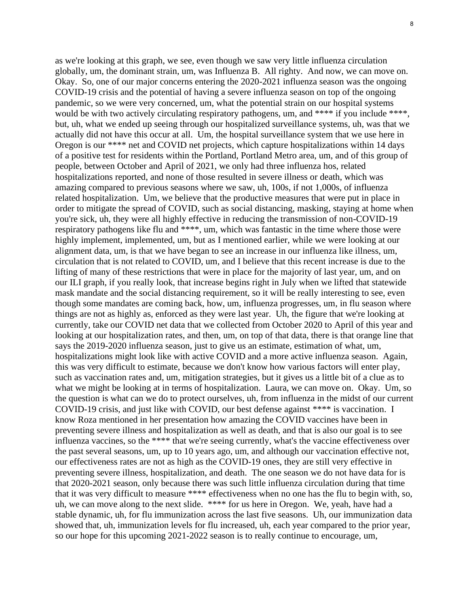as we're looking at this graph, we see, even though we saw very little influenza circulation globally, um, the dominant strain, um, was Influenza B. All righty. And now, we can move on. Okay. So, one of our major concerns entering the 2020-2021 influenza season was the ongoing COVID-19 crisis and the potential of having a severe influenza season on top of the ongoing pandemic, so we were very concerned, um, what the potential strain on our hospital systems would be with two actively circulating respiratory pathogens, um, and \*\*\*\* if you include \*\*\*\*, but, uh, what we ended up seeing through our hospitalized surveillance systems, uh, was that we actually did not have this occur at all. Um, the hospital surveillance system that we use here in Oregon is our \*\*\*\* net and COVID net projects, which capture hospitalizations within 14 days of a positive test for residents within the Portland, Portland Metro area, um, and of this group of people, between October and April of 2021, we only had three influenza hos, related hospitalizations reported, and none of those resulted in severe illness or death, which was amazing compared to previous seasons where we saw, uh, 100s, if not 1,000s, of influenza related hospitalization. Um, we believe that the productive measures that were put in place in order to mitigate the spread of COVID, such as social distancing, masking, staying at home when you're sick, uh, they were all highly effective in reducing the transmission of non-COVID-19 respiratory pathogens like flu and \*\*\*\*, um, which was fantastic in the time where those were highly implement, implemented, um, but as I mentioned earlier, while we were looking at our alignment data, um, is that we have began to see an increase in our influenza like illness, um, circulation that is not related to COVID, um, and I believe that this recent increase is due to the lifting of many of these restrictions that were in place for the majority of last year, um, and on our ILI graph, if you really look, that increase begins right in July when we lifted that statewide mask mandate and the social distancing requirement, so it will be really interesting to see, even though some mandates are coming back, how, um, influenza progresses, um, in flu season where things are not as highly as, enforced as they were last year. Uh, the figure that we're looking at currently, take our COVID net data that we collected from October 2020 to April of this year and looking at our hospitalization rates, and then, um, on top of that data, there is that orange line that says the 2019-2020 influenza season, just to give us an estimate, estimation of what, um, hospitalizations might look like with active COVID and a more active influenza season. Again, this was very difficult to estimate, because we don't know how various factors will enter play, such as vaccination rates and, um, mitigation strategies, but it gives us a little bit of a clue as to what we might be looking at in terms of hospitalization. Laura, we can move on. Okay. Um, so the question is what can we do to protect ourselves, uh, from influenza in the midst of our current COVID-19 crisis, and just like with COVID, our best defense against \*\*\*\* is vaccination. I know Roza mentioned in her presentation how amazing the COVID vaccines have been in preventing severe illness and hospitalization as well as death, and that is also our goal is to see influenza vaccines, so the \*\*\*\* that we're seeing currently, what's the vaccine effectiveness over the past several seasons, um, up to 10 years ago, um, and although our vaccination effective not, our effectiveness rates are not as high as the COVID-19 ones, they are still very effective in preventing severe illness, hospitalization, and death. The one season we do not have data for is that 2020-2021 season, only because there was such little influenza circulation during that time that it was very difficult to measure \*\*\*\* effectiveness when no one has the flu to begin with, so, uh, we can move along to the next slide. \*\*\*\* for us here in Oregon. We, yeah, have had a stable dynamic, uh, for flu immunization across the last five seasons. Uh, our immunization data showed that, uh, immunization levels for flu increased, uh, each year compared to the prior year, so our hope for this upcoming 2021-2022 season is to really continue to encourage, um,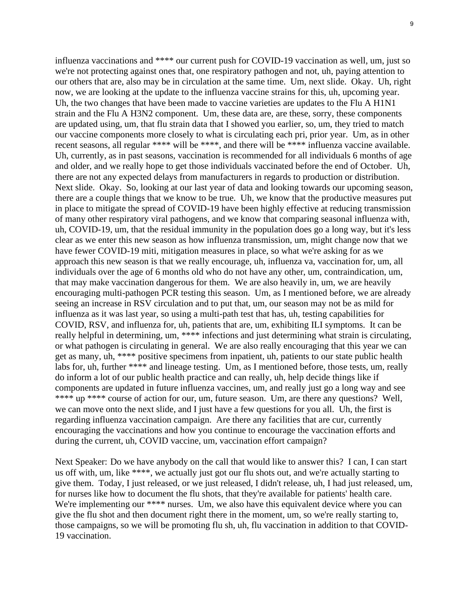influenza vaccinations and \*\*\*\* our current push for COVID-19 vaccination as well, um, just so we're not protecting against ones that, one respiratory pathogen and not, uh, paying attention to our others that are, also may be in circulation at the same time. Um, next slide. Okay. Uh, right now, we are looking at the update to the influenza vaccine strains for this, uh, upcoming year. Uh, the two changes that have been made to vaccine varieties are updates to the Flu A H1N1 strain and the Flu A H3N2 component. Um, these data are, are these, sorry, these components are updated using, um, that flu strain data that I showed you earlier, so, um, they tried to match our vaccine components more closely to what is circulating each pri, prior year. Um, as in other recent seasons, all regular \*\*\*\* will be \*\*\*\*, and there will be \*\*\*\* influenza vaccine available. Uh, currently, as in past seasons, vaccination is recommended for all individuals 6 months of age and older, and we really hope to get those individuals vaccinated before the end of October. Uh, there are not any expected delays from manufacturers in regards to production or distribution. Next slide. Okay. So, looking at our last year of data and looking towards our upcoming season, there are a couple things that we know to be true. Uh, we know that the productive measures put in place to mitigate the spread of COVID-19 have been highly effective at reducing transmission of many other respiratory viral pathogens, and we know that comparing seasonal influenza with, uh, COVID-19, um, that the residual immunity in the population does go a long way, but it's less clear as we enter this new season as how influenza transmission, um, might change now that we have fewer COVID-19 miti, mitigation measures in place, so what we're asking for as we approach this new season is that we really encourage, uh, influenza va, vaccination for, um, all individuals over the age of 6 months old who do not have any other, um, contraindication, um, that may make vaccination dangerous for them. We are also heavily in, um, we are heavily encouraging multi-pathogen PCR testing this season. Um, as I mentioned before, we are already seeing an increase in RSV circulation and to put that, um, our season may not be as mild for influenza as it was last year, so using a multi-path test that has, uh, testing capabilities for COVID, RSV, and influenza for, uh, patients that are, um, exhibiting ILI symptoms. It can be really helpful in determining, um, \*\*\*\* infections and just determining what strain is circulating, or what pathogen is circulating in general. We are also really encouraging that this year we can get as many, uh, \*\*\*\* positive specimens from inpatient, uh, patients to our state public health labs for, uh, further \*\*\*\* and lineage testing. Um, as I mentioned before, those tests, um, really do inform a lot of our public health practice and can really, uh, help decide things like if components are updated in future influenza vaccines, um, and really just go a long way and see \*\*\*\* up \*\*\*\* course of action for our, um, future season. Um, are there any questions? Well, we can move onto the next slide, and I just have a few questions for you all. Uh, the first is regarding influenza vaccination campaign. Are there any facilities that are cur, currently encouraging the vaccinations and how you continue to encourage the vaccination efforts and

Next Speaker: Do we have anybody on the call that would like to answer this? I can, I can start us off with, um, like \*\*\*\*, we actually just got our flu shots out, and we're actually starting to give them. Today, I just released, or we just released, I didn't release, uh, I had just released, um, for nurses like how to document the flu shots, that they're available for patients' health care. We're implementing our \*\*\*\* nurses. Um, we also have this equivalent device where you can give the flu shot and then document right there in the moment, um, so we're really starting to, those campaigns, so we will be promoting flu sh, uh, flu vaccination in addition to that COVID-19 vaccination.

during the current, uh, COVID vaccine, um, vaccination effort campaign?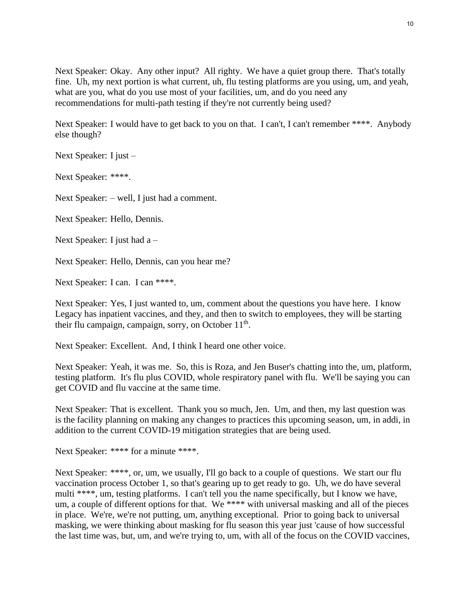Next Speaker: Okay. Any other input? All righty. We have a quiet group there. That's totally fine. Uh, my next portion is what current, uh, flu testing platforms are you using, um, and yeah, what are you, what do you use most of your facilities, um, and do you need any recommendations for multi-path testing if they're not currently being used?

Next Speaker: I would have to get back to you on that. I can't, I can't remember \*\*\*\*. Anybody else though?

Next Speaker: I just –

Next Speaker: \*\*\*\*.

Next Speaker: – well, I just had a comment.

Next Speaker: Hello, Dennis.

Next Speaker: I just had a –

Next Speaker: Hello, Dennis, can you hear me?

Next Speaker: I can. I can \*\*\*\*.

Next Speaker: Yes, I just wanted to, um, comment about the questions you have here. I know Legacy has inpatient vaccines, and they, and then to switch to employees, they will be starting their flu campaign, campaign, sorry, on October 11<sup>th</sup>.

Next Speaker: Excellent. And, I think I heard one other voice.

Next Speaker: Yeah, it was me. So, this is Roza, and Jen Buser's chatting into the, um, platform, testing platform. It's flu plus COVID, whole respiratory panel with flu. We'll be saying you can get COVID and flu vaccine at the same time.

Next Speaker: That is excellent. Thank you so much, Jen. Um, and then, my last question was is the facility planning on making any changes to practices this upcoming season, um, in addi, in addition to the current COVID-19 mitigation strategies that are being used.

Next Speaker: \*\*\*\* for a minute \*\*\*\*.

Next Speaker: \*\*\*\*, or, um, we usually, I'll go back to a couple of questions. We start our flu vaccination process October 1, so that's gearing up to get ready to go. Uh, we do have several multi \*\*\*\*, um, testing platforms. I can't tell you the name specifically, but I know we have, um, a couple of different options for that. We \*\*\*\* with universal masking and all of the pieces in place. We're, we're not putting, um, anything exceptional. Prior to going back to universal masking, we were thinking about masking for flu season this year just 'cause of how successful the last time was, but, um, and we're trying to, um, with all of the focus on the COVID vaccines,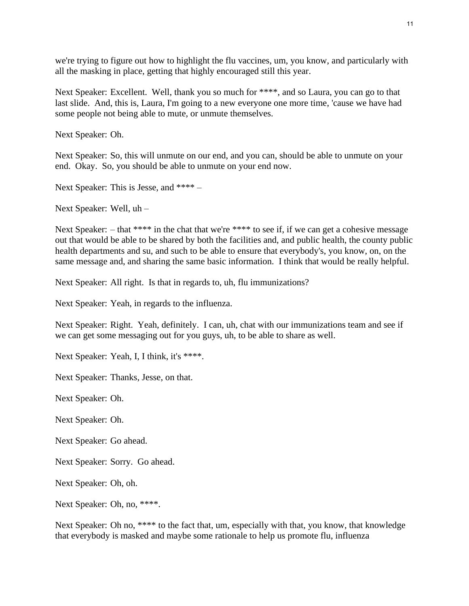we're trying to figure out how to highlight the flu vaccines, um, you know, and particularly with all the masking in place, getting that highly encouraged still this year.

Next Speaker: Excellent. Well, thank you so much for \*\*\*\*, and so Laura, you can go to that last slide. And, this is, Laura, I'm going to a new everyone one more time, 'cause we have had some people not being able to mute, or unmute themselves.

Next Speaker: Oh.

Next Speaker: So, this will unmute on our end, and you can, should be able to unmute on your end. Okay. So, you should be able to unmute on your end now.

Next Speaker: This is Jesse, and \*\*\*\* –

Next Speaker: Well, uh –

Next Speaker: – that \*\*\*\* in the chat that we're \*\*\*\* to see if, if we can get a cohesive message out that would be able to be shared by both the facilities and, and public health, the county public health departments and su, and such to be able to ensure that everybody's, you know, on, on the same message and, and sharing the same basic information. I think that would be really helpful.

Next Speaker: All right. Is that in regards to, uh, flu immunizations?

Next Speaker: Yeah, in regards to the influenza.

Next Speaker: Right. Yeah, definitely. I can, uh, chat with our immunizations team and see if we can get some messaging out for you guys, uh, to be able to share as well.

Next Speaker: Yeah, I, I think, it's \*\*\*\*.

Next Speaker: Thanks, Jesse, on that.

Next Speaker: Oh.

Next Speaker: Oh.

Next Speaker: Go ahead.

Next Speaker: Sorry. Go ahead.

Next Speaker: Oh, oh.

Next Speaker: Oh, no, \*\*\*\*.

Next Speaker: Oh no, \*\*\*\* to the fact that, um, especially with that, you know, that knowledge that everybody is masked and maybe some rationale to help us promote flu, influenza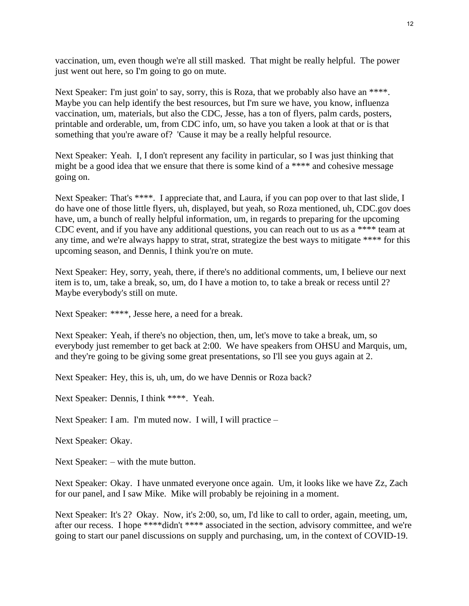vaccination, um, even though we're all still masked. That might be really helpful. The power just went out here, so I'm going to go on mute.

Next Speaker: I'm just goin' to say, sorry, this is Roza, that we probably also have an \*\*\*\*. Maybe you can help identify the best resources, but I'm sure we have, you know, influenza vaccination, um, materials, but also the CDC, Jesse, has a ton of flyers, palm cards, posters, printable and orderable, um, from CDC info, um, so have you taken a look at that or is that something that you're aware of? 'Cause it may be a really helpful resource.

Next Speaker: Yeah. I, I don't represent any facility in particular, so I was just thinking that might be a good idea that we ensure that there is some kind of a \*\*\*\* and cohesive message going on.

Next Speaker: That's \*\*\*\*. I appreciate that, and Laura, if you can pop over to that last slide, I do have one of those little flyers, uh, displayed, but yeah, so Roza mentioned, uh, CDC.gov does have, um, a bunch of really helpful information, um, in regards to preparing for the upcoming CDC event, and if you have any additional questions, you can reach out to us as a \*\*\*\* team at any time, and we're always happy to strat, strat, strategize the best ways to mitigate \*\*\*\* for this upcoming season, and Dennis, I think you're on mute.

Next Speaker: Hey, sorry, yeah, there, if there's no additional comments, um, I believe our next item is to, um, take a break, so, um, do I have a motion to, to take a break or recess until 2? Maybe everybody's still on mute.

Next Speaker: \*\*\*\*, Jesse here, a need for a break.

Next Speaker: Yeah, if there's no objection, then, um, let's move to take a break, um, so everybody just remember to get back at 2:00. We have speakers from OHSU and Marquis, um, and they're going to be giving some great presentations, so I'll see you guys again at 2.

Next Speaker: Hey, this is, uh, um, do we have Dennis or Roza back?

Next Speaker: Dennis, I think \*\*\*\*. Yeah.

Next Speaker: I am. I'm muted now. I will, I will practice –

Next Speaker: Okay.

Next Speaker: – with the mute button.

Next Speaker: Okay. I have unmated everyone once again. Um, it looks like we have Zz, Zach for our panel, and I saw Mike. Mike will probably be rejoining in a moment.

Next Speaker: It's 2? Okay. Now, it's 2:00, so, um, I'd like to call to order, again, meeting, um, after our recess. I hope \*\*\*\*didn't \*\*\*\* associated in the section, advisory committee, and we're going to start our panel discussions on supply and purchasing, um, in the context of COVID-19.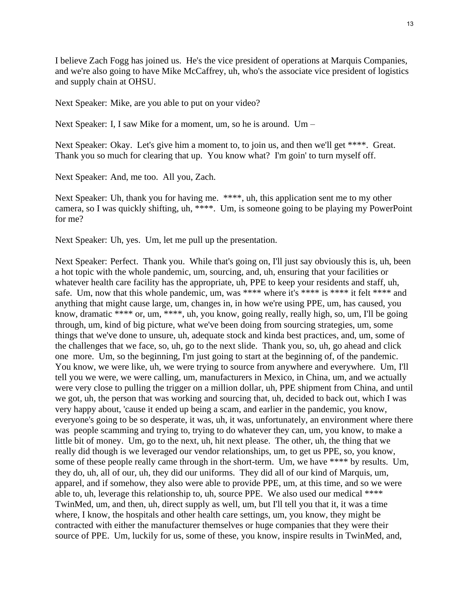I believe Zach Fogg has joined us. He's the vice president of operations at Marquis Companies, and we're also going to have Mike McCaffrey, uh, who's the associate vice president of logistics and supply chain at OHSU.

Next Speaker: Mike, are you able to put on your video?

Next Speaker: I, I saw Mike for a moment, um, so he is around. Um –

Next Speaker: Okay. Let's give him a moment to, to join us, and then we'll get \*\*\*\*. Great. Thank you so much for clearing that up. You know what? I'm goin' to turn myself off.

Next Speaker: And, me too. All you, Zach.

Next Speaker: Uh, thank you for having me. \*\*\*\*, uh, this application sent me to my other camera, so I was quickly shifting, uh, \*\*\*\*. Um, is someone going to be playing my PowerPoint for me?

Next Speaker: Uh, yes. Um, let me pull up the presentation.

Next Speaker: Perfect. Thank you. While that's going on, I'll just say obviously this is, uh, been a hot topic with the whole pandemic, um, sourcing, and, uh, ensuring that your facilities or whatever health care facility has the appropriate, uh, PPE to keep your residents and staff, uh, safe. Um, now that this whole pandemic, um, was \*\*\*\* where it's \*\*\*\* is \*\*\*\* it felt \*\*\*\* and anything that might cause large, um, changes in, in how we're using PPE, um, has caused, you know, dramatic \*\*\*\* or, um, \*\*\*\*, uh, you know, going really, really high, so, um, I'll be going through, um, kind of big picture, what we've been doing from sourcing strategies, um, some things that we've done to unsure, uh, adequate stock and kinda best practices, and, um, some of the challenges that we face, so, uh, go to the next slide. Thank you, so, uh, go ahead and click one more. Um, so the beginning, I'm just going to start at the beginning of, of the pandemic. You know, we were like, uh, we were trying to source from anywhere and everywhere. Um, I'll tell you we were, we were calling, um, manufacturers in Mexico, in China, um, and we actually were very close to pulling the trigger on a million dollar, uh, PPE shipment from China, and until we got, uh, the person that was working and sourcing that, uh, decided to back out, which I was very happy about, 'cause it ended up being a scam, and earlier in the pandemic, you know, everyone's going to be so desperate, it was, uh, it was, unfortunately, an environment where there was people scamming and trying to, trying to do whatever they can, um, you know, to make a little bit of money. Um, go to the next, uh, hit next please. The other, uh, the thing that we really did though is we leveraged our vendor relationships, um, to get us PPE, so, you know, some of these people really came through in the short-term. Um, we have \*\*\*\* by results. Um, they do, uh, all of our, uh, they did our uniforms. They did all of our kind of Marquis, um, apparel, and if somehow, they also were able to provide PPE, um, at this time, and so we were able to, uh, leverage this relationship to, uh, source PPE. We also used our medical \*\*\*\* TwinMed, um, and then, uh, direct supply as well, um, but I'll tell you that it, it was a time where, I know, the hospitals and other health care settings, um, you know, they might be contracted with either the manufacturer themselves or huge companies that they were their source of PPE. Um, luckily for us, some of these, you know, inspire results in TwinMed, and,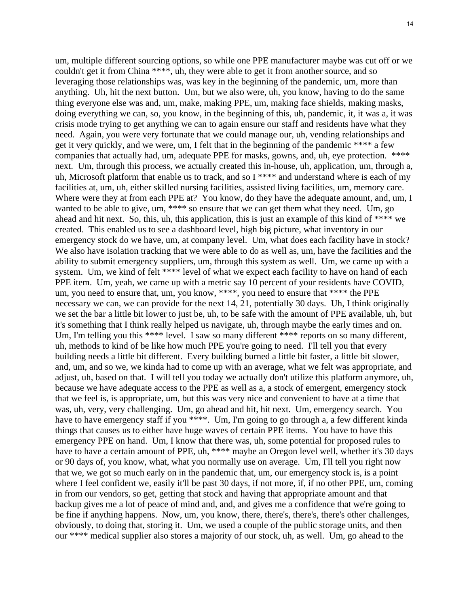um, multiple different sourcing options, so while one PPE manufacturer maybe was cut off or we couldn't get it from China \*\*\*\*, uh, they were able to get it from another source, and so leveraging those relationships was, was key in the beginning of the pandemic, um, more than anything. Uh, hit the next button. Um, but we also were, uh, you know, having to do the same thing everyone else was and, um, make, making PPE, um, making face shields, making masks, doing everything we can, so, you know, in the beginning of this, uh, pandemic, it, it was a, it was crisis mode trying to get anything we can to again ensure our staff and residents have what they need. Again, you were very fortunate that we could manage our, uh, vending relationships and get it very quickly, and we were, um, I felt that in the beginning of the pandemic \*\*\*\* a few companies that actually had, um, adequate PPE for masks, gowns, and, uh, eye protection. \*\*\*\* next. Um, through this process, we actually created this in-house, uh, application, um, through a, uh, Microsoft platform that enable us to track, and so I \*\*\*\* and understand where is each of my facilities at, um, uh, either skilled nursing facilities, assisted living facilities, um, memory care. Where were they at from each PPE at? You know, do they have the adequate amount, and, um, I wanted to be able to give, um, \*\*\*\* so ensure that we can get them what they need. Um, go ahead and hit next. So, this, uh, this application, this is just an example of this kind of \*\*\*\* we created. This enabled us to see a dashboard level, high big picture, what inventory in our emergency stock do we have, um, at company level. Um, what does each facility have in stock? We also have isolation tracking that we were able to do as well as, um, have the facilities and the ability to submit emergency suppliers, um, through this system as well. Um, we came up with a system. Um, we kind of felt \*\*\*\* level of what we expect each facility to have on hand of each PPE item. Um, yeah, we came up with a metric say 10 percent of your residents have COVID, um, you need to ensure that, um, you know, \*\*\*\*, you need to ensure that \*\*\*\* the PPE necessary we can, we can provide for the next 14, 21, potentially 30 days. Uh, I think originally we set the bar a little bit lower to just be, uh, to be safe with the amount of PPE available, uh, but it's something that I think really helped us navigate, uh, through maybe the early times and on. Um, I'm telling you this \*\*\*\* level. I saw so many different \*\*\*\* reports on so many different, uh, methods to kind of be like how much PPE you're going to need. I'll tell you that every building needs a little bit different. Every building burned a little bit faster, a little bit slower, and, um, and so we, we kinda had to come up with an average, what we felt was appropriate, and adjust, uh, based on that. I will tell you today we actually don't utilize this platform anymore, uh, because we have adequate access to the PPE as well as a, a stock of emergent, emergency stock that we feel is, is appropriate, um, but this was very nice and convenient to have at a time that was, uh, very, very challenging. Um, go ahead and hit, hit next. Um, emergency search. You have to have emergency staff if you \*\*\*\*. Um, I'm going to go through a, a few different kinda things that causes us to either have huge waves of certain PPE items. You have to have this emergency PPE on hand. Um, I know that there was, uh, some potential for proposed rules to have to have a certain amount of PPE, uh, \*\*\*\* maybe an Oregon level well, whether it's 30 days or 90 days of, you know, what, what you normally use on average. Um, I'll tell you right now that we, we got so much early on in the pandemic that, um, our emergency stock is, is a point where I feel confident we, easily it'll be past 30 days, if not more, if, if no other PPE, um, coming in from our vendors, so get, getting that stock and having that appropriate amount and that backup gives me a lot of peace of mind and, and, and gives me a confidence that we're going to be fine if anything happens. Now, um, you know, there, there's, there's, there's other challenges, obviously, to doing that, storing it. Um, we used a couple of the public storage units, and then our \*\*\*\* medical supplier also stores a majority of our stock, uh, as well. Um, go ahead to the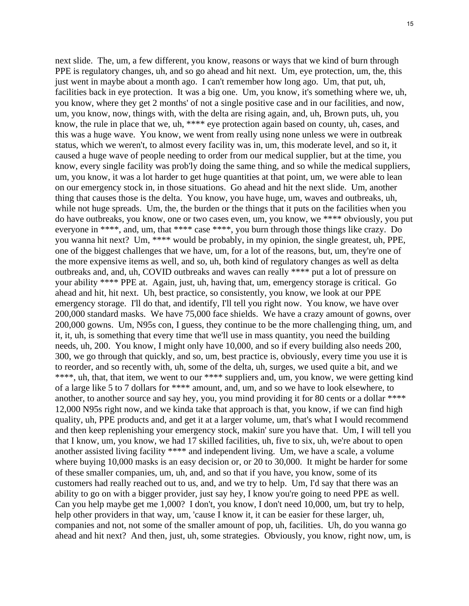next slide. The, um, a few different, you know, reasons or ways that we kind of burn through PPE is regulatory changes, uh, and so go ahead and hit next. Um, eye protection, um, the, this just went in maybe about a month ago. I can't remember how long ago. Um, that put, uh, facilities back in eye protection. It was a big one. Um, you know, it's something where we, uh, you know, where they get 2 months' of not a single positive case and in our facilities, and now, um, you know, now, things with, with the delta are rising again, and, uh, Brown puts, uh, you know, the rule in place that we, uh, \*\*\*\* eye protection again based on county, uh, cases, and this was a huge wave. You know, we went from really using none unless we were in outbreak status, which we weren't, to almost every facility was in, um, this moderate level, and so it, it caused a huge wave of people needing to order from our medical supplier, but at the time, you know, every single facility was prob'ly doing the same thing, and so while the medical suppliers, um, you know, it was a lot harder to get huge quantities at that point, um, we were able to lean on our emergency stock in, in those situations. Go ahead and hit the next slide. Um, another thing that causes those is the delta. You know, you have huge, um, waves and outbreaks, uh, while not huge spreads. Um, the, the burden or the things that it puts on the facilities when you do have outbreaks, you know, one or two cases even, um, you know, we \*\*\*\* obviously, you put everyone in \*\*\*\*, and, um, that \*\*\*\* case \*\*\*\*, you burn through those things like crazy. Do you wanna hit next? Um, \*\*\*\* would be probably, in my opinion, the single greatest, uh, PPE, one of the biggest challenges that we have, um, for a lot of the reasons, but, um, they're one of the more expensive items as well, and so, uh, both kind of regulatory changes as well as delta outbreaks and, and, uh, COVID outbreaks and waves can really \*\*\*\* put a lot of pressure on your ability \*\*\*\* PPE at. Again, just, uh, having that, um, emergency storage is critical. Go ahead and hit, hit next. Uh, best practice, so consistently, you know, we look at our PPE emergency storage. I'll do that, and identify, I'll tell you right now. You know, we have over 200,000 standard masks. We have 75,000 face shields. We have a crazy amount of gowns, over 200,000 gowns. Um, N95s con, I guess, they continue to be the more challenging thing, um, and it, it, uh, is something that every time that we'll use in mass quantity, you need the building needs, uh, 200. You know, I might only have 10,000, and so if every building also needs 200, 300, we go through that quickly, and so, um, best practice is, obviously, every time you use it is to reorder, and so recently with, uh, some of the delta, uh, surges, we used quite a bit, and we \*\*\*\*, uh, that, that item, we went to our \*\*\*\* suppliers and, um, you know, we were getting kind of a large like 5 to 7 dollars for \*\*\*\* amount, and, um, and so we have to look elsewhere, to another, to another source and say hey, you, you mind providing it for 80 cents or a dollar \*\*\*\* 12,000 N95s right now, and we kinda take that approach is that, you know, if we can find high quality, uh, PPE products and, and get it at a larger volume, um, that's what I would recommend and then keep replenishing your emergency stock, makin' sure you have that. Um, I will tell you that I know, um, you know, we had 17 skilled facilities, uh, five to six, uh, we're about to open another assisted living facility \*\*\*\* and independent living. Um, we have a scale, a volume where buying 10,000 masks is an easy decision or, or 20 to 30,000. It might be harder for some of these smaller companies, um, uh, and, and so that if you have, you know, some of its customers had really reached out to us, and, and we try to help. Um, I'd say that there was an ability to go on with a bigger provider, just say hey, I know you're going to need PPE as well. Can you help maybe get me 1,000? I don't, you know, I don't need 10,000, um, but try to help, help other providers in that way, um, 'cause I know it, it can be easier for these larger, uh, companies and not, not some of the smaller amount of pop, uh, facilities. Uh, do you wanna go ahead and hit next? And then, just, uh, some strategies. Obviously, you know, right now, um, is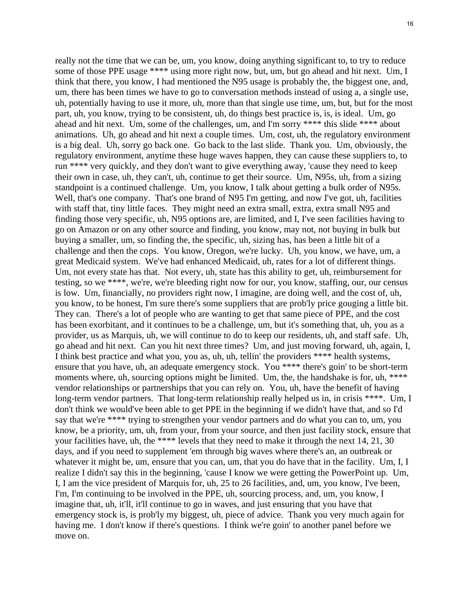really not the time that we can be, um, you know, doing anything significant to, to try to reduce some of those PPE usage \*\*\*\* using more right now, but, um, but go ahead and hit next. Um, I think that there, you know, I had mentioned the N95 usage is probably the, the biggest one, and, um, there has been times we have to go to conversation methods instead of using a, a single use, uh, potentially having to use it more, uh, more than that single use time, um, but, but for the most part, uh, you know, trying to be consistent, uh, do things best practice is, is, is ideal. Um, go ahead and hit next. Um, some of the challenges, um, and I'm sorry \*\*\*\* this slide \*\*\*\* about animations. Uh, go ahead and hit next a couple times. Um, cost, uh, the regulatory environment is a big deal. Uh, sorry go back one. Go back to the last slide. Thank you. Um, obviously, the regulatory environment, anytime these huge waves happen, they can cause these suppliers to, to run \*\*\*\* very quickly, and they don't want to give everything away, 'cause they need to keep their own in case, uh, they can't, uh, continue to get their source. Um, N95s, uh, from a sizing standpoint is a continued challenge. Um, you know, I talk about getting a bulk order of N95s. Well, that's one company. That's one brand of N95 I'm getting, and now I've got, uh, facilities with staff that, tiny little faces. They might need an extra small, extra, extra small N95 and finding those very specific, uh, N95 options are, are limited, and I, I've seen facilities having to go on Amazon or on any other source and finding, you know, may not, not buying in bulk but buying a smaller, um, so finding the, the specific, uh, sizing has, has been a little bit of a challenge and then the cops. You know, Oregon, we're lucky. Uh, you know, we have, um, a great Medicaid system. We've had enhanced Medicaid, uh, rates for a lot of different things. Um, not every state has that. Not every, uh, state has this ability to get, uh, reimbursement for testing, so we \*\*\*\*, we're, we're bleeding right now for our, you know, staffing, our, our census is low. Um, financially, no providers right now, I imagine, are doing well, and the cost of, uh, you know, to be honest, I'm sure there's some suppliers that are prob'ly price gouging a little bit. They can. There's a lot of people who are wanting to get that same piece of PPE, and the cost has been exorbitant, and it continues to be a challenge, um, but it's something that, uh, you as a provider, us as Marquis, uh, we will continue to do to keep our residents, uh, and staff safe. Uh, go ahead and hit next. Can you hit next three times? Um, and just moving forward, uh, again, I, I think best practice and what you, you as, uh, uh, tellin' the providers \*\*\*\* health systems, ensure that you have, uh, an adequate emergency stock. You \*\*\*\* there's goin' to be short-term moments where, uh, sourcing options might be limited. Um, the, the handshake is for, uh, \*\*\*\* vendor relationships or partnerships that you can rely on. You, uh, have the benefit of having long-term vendor partners. That long-term relationship really helped us in, in crisis \*\*\*\*. Um, I don't think we would've been able to get PPE in the beginning if we didn't have that, and so I'd say that we're \*\*\*\* trying to strengthen your vendor partners and do what you can to, um, you know, be a priority, um, uh, from your, from your source, and then just facility stock, ensure that your facilities have, uh, the \*\*\*\* levels that they need to make it through the next 14, 21, 30 days, and if you need to supplement 'em through big waves where there's an, an outbreak or whatever it might be, um, ensure that you can, um, that you do have that in the facility. Um, I, I realize I didn't say this in the beginning, 'cause I know we were getting the PowerPoint up. Um, I, I am the vice president of Marquis for, uh, 25 to 26 facilities, and, um, you know, I've been, I'm, I'm continuing to be involved in the PPE, uh, sourcing process, and, um, you know, I imagine that, uh, it'll, it'll continue to go in waves, and just ensuring that you have that emergency stock is, is prob'ly my biggest, uh, piece of advice. Thank you very much again for having me. I don't know if there's questions. I think we're goin' to another panel before we move on.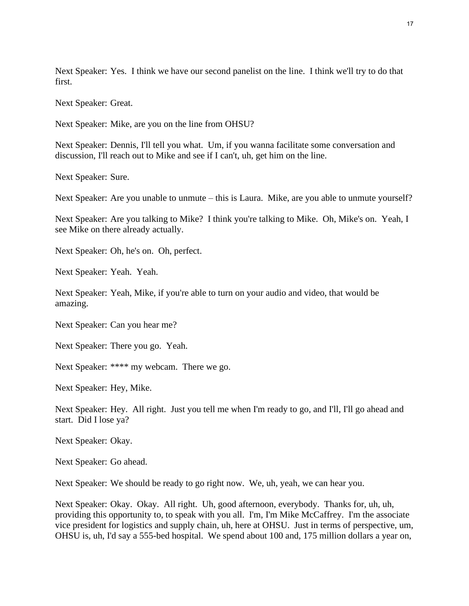Next Speaker: Yes. I think we have our second panelist on the line. I think we'll try to do that first.

Next Speaker: Great.

Next Speaker: Mike, are you on the line from OHSU?

Next Speaker: Dennis, I'll tell you what. Um, if you wanna facilitate some conversation and discussion, I'll reach out to Mike and see if I can't, uh, get him on the line.

Next Speaker: Sure.

Next Speaker: Are you unable to unmute – this is Laura. Mike, are you able to unmute yourself?

Next Speaker: Are you talking to Mike? I think you're talking to Mike. Oh, Mike's on. Yeah, I see Mike on there already actually.

Next Speaker: Oh, he's on. Oh, perfect.

Next Speaker: Yeah. Yeah.

Next Speaker: Yeah, Mike, if you're able to turn on your audio and video, that would be amazing.

Next Speaker: Can you hear me?

Next Speaker: There you go. Yeah.

Next Speaker: \*\*\*\* my webcam. There we go.

Next Speaker: Hey, Mike.

Next Speaker: Hey. All right. Just you tell me when I'm ready to go, and I'll, I'll go ahead and start. Did I lose ya?

Next Speaker: Okay.

Next Speaker: Go ahead.

Next Speaker: We should be ready to go right now. We, uh, yeah, we can hear you.

Next Speaker: Okay. Okay. All right. Uh, good afternoon, everybody. Thanks for, uh, uh, providing this opportunity to, to speak with you all. I'm, I'm Mike McCaffrey. I'm the associate vice president for logistics and supply chain, uh, here at OHSU. Just in terms of perspective, um, OHSU is, uh, I'd say a 555-bed hospital. We spend about 100 and, 175 million dollars a year on,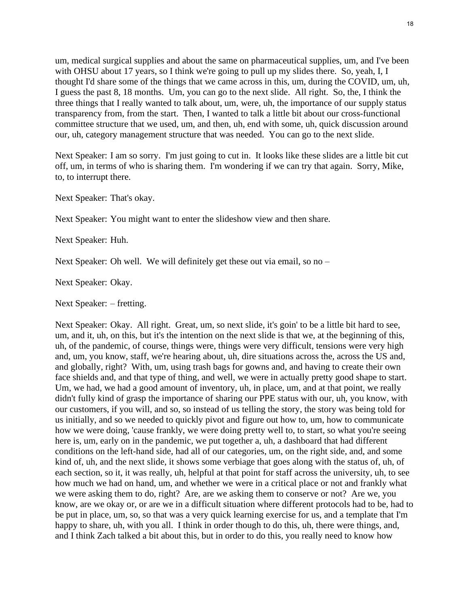um, medical surgical supplies and about the same on pharmaceutical supplies, um, and I've been with OHSU about 17 years, so I think we're going to pull up my slides there. So, yeah, I, I thought I'd share some of the things that we came across in this, um, during the COVID, um, uh, I guess the past 8, 18 months. Um, you can go to the next slide. All right. So, the, I think the three things that I really wanted to talk about, um, were, uh, the importance of our supply status transparency from, from the start. Then, I wanted to talk a little bit about our cross-functional committee structure that we used, um, and then, uh, end with some, uh, quick discussion around our, uh, category management structure that was needed. You can go to the next slide.

Next Speaker: I am so sorry. I'm just going to cut in. It looks like these slides are a little bit cut off, um, in terms of who is sharing them. I'm wondering if we can try that again. Sorry, Mike, to, to interrupt there.

Next Speaker: That's okay.

Next Speaker: You might want to enter the slideshow view and then share.

Next Speaker: Huh.

Next Speaker: Oh well. We will definitely get these out via email, so no –

Next Speaker: Okay.

Next Speaker: – fretting.

Next Speaker: Okay. All right. Great, um, so next slide, it's goin' to be a little bit hard to see, um, and it, uh, on this, but it's the intention on the next slide is that we, at the beginning of this, uh, of the pandemic, of course, things were, things were very difficult, tensions were very high and, um, you know, staff, we're hearing about, uh, dire situations across the, across the US and, and globally, right? With, um, using trash bags for gowns and, and having to create their own face shields and, and that type of thing, and well, we were in actually pretty good shape to start. Um, we had, we had a good amount of inventory, uh, in place, um, and at that point, we really didn't fully kind of grasp the importance of sharing our PPE status with our, uh, you know, with our customers, if you will, and so, so instead of us telling the story, the story was being told for us initially, and so we needed to quickly pivot and figure out how to, um, how to communicate how we were doing, 'cause frankly, we were doing pretty well to, to start, so what you're seeing here is, um, early on in the pandemic, we put together a, uh, a dashboard that had different conditions on the left-hand side, had all of our categories, um, on the right side, and, and some kind of, uh, and the next slide, it shows some verbiage that goes along with the status of, uh, of each section, so it, it was really, uh, helpful at that point for staff across the university, uh, to see how much we had on hand, um, and whether we were in a critical place or not and frankly what we were asking them to do, right? Are, are we asking them to conserve or not? Are we, you know, are we okay or, or are we in a difficult situation where different protocols had to be, had to be put in place, um, so, so that was a very quick learning exercise for us, and a template that I'm happy to share, uh, with you all. I think in order though to do this, uh, there were things, and, and I think Zach talked a bit about this, but in order to do this, you really need to know how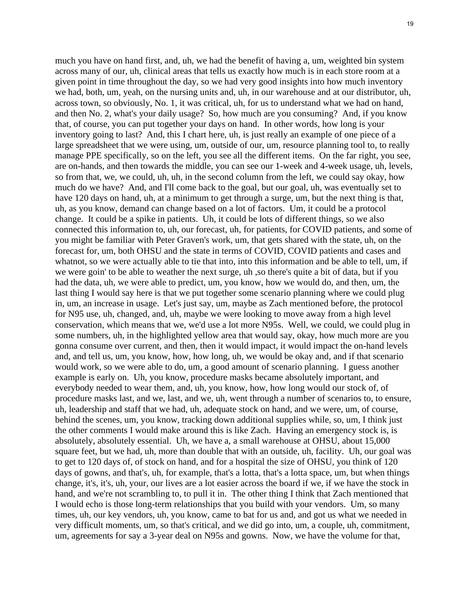much you have on hand first, and, uh, we had the benefit of having a, um, weighted bin system across many of our, uh, clinical areas that tells us exactly how much is in each store room at a given point in time throughout the day, so we had very good insights into how much inventory we had, both, um, yeah, on the nursing units and, uh, in our warehouse and at our distributor, uh, across town, so obviously, No. 1, it was critical, uh, for us to understand what we had on hand, and then No. 2, what's your daily usage? So, how much are you consuming? And, if you know that, of course, you can put together your days on hand. In other words, how long is your inventory going to last? And, this I chart here, uh, is just really an example of one piece of a large spreadsheet that we were using, um, outside of our, um, resource planning tool to, to really manage PPE specifically, so on the left, you see all the different items. On the far right, you see, are on-hands, and then towards the middle, you can see our 1-week and 4-week usage, uh, levels, so from that, we, we could, uh, uh, in the second column from the left, we could say okay, how much do we have? And, and I'll come back to the goal, but our goal, uh, was eventually set to have 120 days on hand, uh, at a minimum to get through a surge, um, but the next thing is that, uh, as you know, demand can change based on a lot of factors. Um, it could be a protocol change. It could be a spike in patients. Uh, it could be lots of different things, so we also connected this information to, uh, our forecast, uh, for patients, for COVID patients, and some of you might be familiar with Peter Graven's work, um, that gets shared with the state, uh, on the forecast for, um, both OHSU and the state in terms of COVID, COVID patients and cases and whatnot, so we were actually able to tie that into, into this information and be able to tell, um, if we were goin' to be able to weather the next surge, uh ,so there's quite a bit of data, but if you had the data, uh, we were able to predict, um, you know, how we would do, and then, um, the last thing I would say here is that we put together some scenario planning where we could plug in, um, an increase in usage. Let's just say, um, maybe as Zach mentioned before, the protocol for N95 use, uh, changed, and, uh, maybe we were looking to move away from a high level conservation, which means that we, we'd use a lot more N95s. Well, we could, we could plug in some numbers, uh, in the highlighted yellow area that would say, okay, how much more are you gonna consume over current, and then, then it would impact, it would impact the on-hand levels and, and tell us, um, you know, how, how long, uh, we would be okay and, and if that scenario would work, so we were able to do, um, a good amount of scenario planning. I guess another example is early on. Uh, you know, procedure masks became absolutely important, and everybody needed to wear them, and, uh, you know, how, how long would our stock of, of procedure masks last, and we, last, and we, uh, went through a number of scenarios to, to ensure, uh, leadership and staff that we had, uh, adequate stock on hand, and we were, um, of course, behind the scenes, um, you know, tracking down additional supplies while, so, um, I think just the other comments I would make around this is like Zach. Having an emergency stock is, is absolutely, absolutely essential. Uh, we have a, a small warehouse at OHSU, about 15,000 square feet, but we had, uh, more than double that with an outside, uh, facility. Uh, our goal was to get to 120 days of, of stock on hand, and for a hospital the size of OHSU, you think of 120 days of gowns, and that's, uh, for example, that's a lotta, that's a lotta space, um, but when things change, it's, it's, uh, your, our lives are a lot easier across the board if we, if we have the stock in hand, and we're not scrambling to, to pull it in. The other thing I think that Zach mentioned that I would echo is those long-term relationships that you build with your vendors. Um, so many times, uh, our key vendors, uh, you know, came to bat for us and, and got us what we needed in very difficult moments, um, so that's critical, and we did go into, um, a couple, uh, commitment, um, agreements for say a 3-year deal on N95s and gowns. Now, we have the volume for that,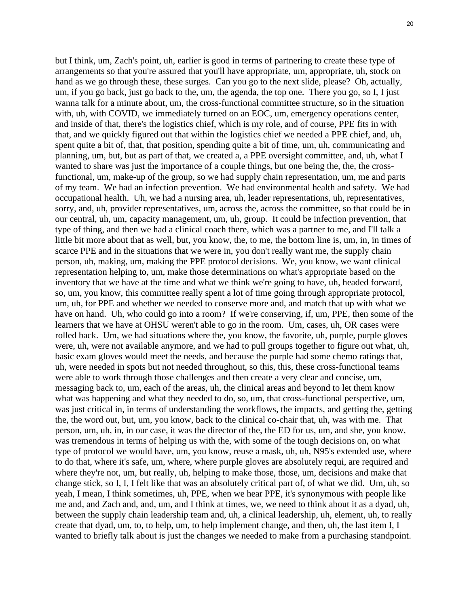but I think, um, Zach's point, uh, earlier is good in terms of partnering to create these type of arrangements so that you're assured that you'll have appropriate, um, appropriate, uh, stock on hand as we go through these, these surges. Can you go to the next slide, please? Oh, actually, um, if you go back, just go back to the, um, the agenda, the top one. There you go, so I, I just wanna talk for a minute about, um, the cross-functional committee structure, so in the situation with, uh, with COVID, we immediately turned on an EOC, um, emergency operations center, and inside of that, there's the logistics chief, which is my role, and of course, PPE fits in with that, and we quickly figured out that within the logistics chief we needed a PPE chief, and, uh, spent quite a bit of, that, that position, spending quite a bit of time, um, uh, communicating and planning, um, but, but as part of that, we created a, a PPE oversight committee, and, uh, what I wanted to share was just the importance of a couple things, but one being the, the, the crossfunctional, um, make-up of the group, so we had supply chain representation, um, me and parts of my team. We had an infection prevention. We had environmental health and safety. We had occupational health. Uh, we had a nursing area, uh, leader representations, uh, representatives, sorry, and, uh, provider representatives, um, across the, across the committee, so that could be in our central, uh, um, capacity management, um, uh, group. It could be infection prevention, that type of thing, and then we had a clinical coach there, which was a partner to me, and I'll talk a little bit more about that as well, but, you know, the, to me, the bottom line is, um, in, in times of scarce PPE and in the situations that we were in, you don't really want me, the supply chain person, uh, making, um, making the PPE protocol decisions. We, you know, we want clinical representation helping to, um, make those determinations on what's appropriate based on the inventory that we have at the time and what we think we're going to have, uh, headed forward, so, um, you know, this committee really spent a lot of time going through appropriate protocol, um, uh, for PPE and whether we needed to conserve more and, and match that up with what we have on hand. Uh, who could go into a room? If we're conserving, if, um, PPE, then some of the learners that we have at OHSU weren't able to go in the room. Um, cases, uh, OR cases were rolled back. Um, we had situations where the, you know, the favorite, uh, purple, purple gloves were, uh, were not available anymore, and we had to pull groups together to figure out what, uh, basic exam gloves would meet the needs, and because the purple had some chemo ratings that, uh, were needed in spots but not needed throughout, so this, this, these cross-functional teams were able to work through those challenges and then create a very clear and concise, um, messaging back to, um, each of the areas, uh, the clinical areas and beyond to let them know what was happening and what they needed to do, so, um, that cross-functional perspective, um, was just critical in, in terms of understanding the workflows, the impacts, and getting the, getting the, the word out, but, um, you know, back to the clinical co-chair that, uh, was with me. That person, um, uh, in, in our case, it was the director of the, the ED for us, um, and she, you know, was tremendous in terms of helping us with the, with some of the tough decisions on, on what type of protocol we would have, um, you know, reuse a mask, uh, uh, N95's extended use, where to do that, where it's safe, um, where, where purple gloves are absolutely requi, are required and where they're not, um, but really, uh, helping to make those, those, um, decisions and make that change stick, so I, I, I felt like that was an absolutely critical part of, of what we did. Um, uh, so yeah, I mean, I think sometimes, uh, PPE, when we hear PPE, it's synonymous with people like me and, and Zach and, and, um, and I think at times, we, we need to think about it as a dyad, uh, between the supply chain leadership team and, uh, a clinical leadership, uh, element, uh, to really create that dyad, um, to, to help, um, to help implement change, and then, uh, the last item I, I wanted to briefly talk about is just the changes we needed to make from a purchasing standpoint.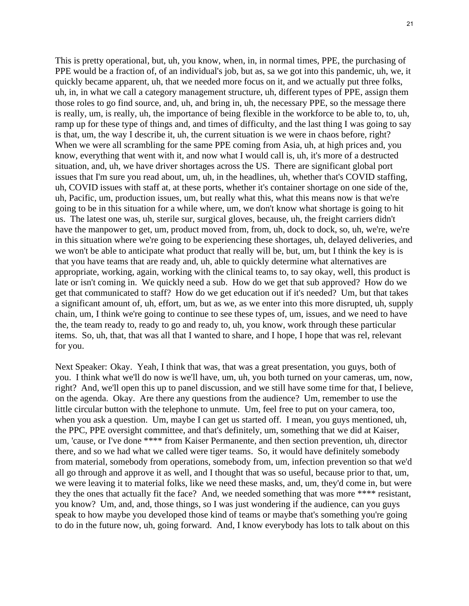This is pretty operational, but, uh, you know, when, in, in normal times, PPE, the purchasing of PPE would be a fraction of, of an individual's job, but as, sa we got into this pandemic, uh, we, it quickly became apparent, uh, that we needed more focus on it, and we actually put three folks, uh, in, in what we call a category management structure, uh, different types of PPE, assign them those roles to go find source, and, uh, and bring in, uh, the necessary PPE, so the message there is really, um, is really, uh, the importance of being flexible in the workforce to be able to, to, uh, ramp up for these type of things and, and times of difficulty, and the last thing I was going to say is that, um, the way I describe it, uh, the current situation is we were in chaos before, right? When we were all scrambling for the same PPE coming from Asia, uh, at high prices and, you know, everything that went with it, and now what I would call is, uh, it's more of a destructed situation, and, uh, we have driver shortages across the US. There are significant global port issues that I'm sure you read about, um, uh, in the headlines, uh, whether that's COVID staffing, uh, COVID issues with staff at, at these ports, whether it's container shortage on one side of the, uh, Pacific, um, production issues, um, but really what this, what this means now is that we're going to be in this situation for a while where, um, we don't know what shortage is going to hit us. The latest one was, uh, sterile sur, surgical gloves, because, uh, the freight carriers didn't have the manpower to get, um, product moved from, from, uh, dock to dock, so, uh, we're, we're in this situation where we're going to be experiencing these shortages, uh, delayed deliveries, and we won't be able to anticipate what product that really will be, but, um, but I think the key is is that you have teams that are ready and, uh, able to quickly determine what alternatives are appropriate, working, again, working with the clinical teams to, to say okay, well, this product is late or isn't coming in. We quickly need a sub. How do we get that sub approved? How do we get that communicated to staff? How do we get education out if it's needed? Um, but that takes a significant amount of, uh, effort, um, but as we, as we enter into this more disrupted, uh, supply chain, um, I think we're going to continue to see these types of, um, issues, and we need to have the, the team ready to, ready to go and ready to, uh, you know, work through these particular items. So, uh, that, that was all that I wanted to share, and I hope, I hope that was rel, relevant for you.

Next Speaker: Okay. Yeah, I think that was, that was a great presentation, you guys, both of you. I think what we'll do now is we'll have, um, uh, you both turned on your cameras, um, now, right? And, we'll open this up to panel discussion, and we still have some time for that, I believe, on the agenda. Okay. Are there any questions from the audience? Um, remember to use the little circular button with the telephone to unmute. Um, feel free to put on your camera, too, when you ask a question. Um, maybe I can get us started off. I mean, you guys mentioned, uh, the PPC, PPE oversight committee, and that's definitely, um, something that we did at Kaiser, um, 'cause, or I've done \*\*\*\* from Kaiser Permanente, and then section prevention, uh, director there, and so we had what we called were tiger teams. So, it would have definitely somebody from material, somebody from operations, somebody from, um, infection prevention so that we'd all go through and approve it as well, and I thought that was so useful, because prior to that, um, we were leaving it to material folks, like we need these masks, and, um, they'd come in, but were they the ones that actually fit the face? And, we needed something that was more \*\*\*\* resistant, you know? Um, and, and, those things, so I was just wondering if the audience, can you guys speak to how maybe you developed those kind of teams or maybe that's something you're going to do in the future now, uh, going forward. And, I know everybody has lots to talk about on this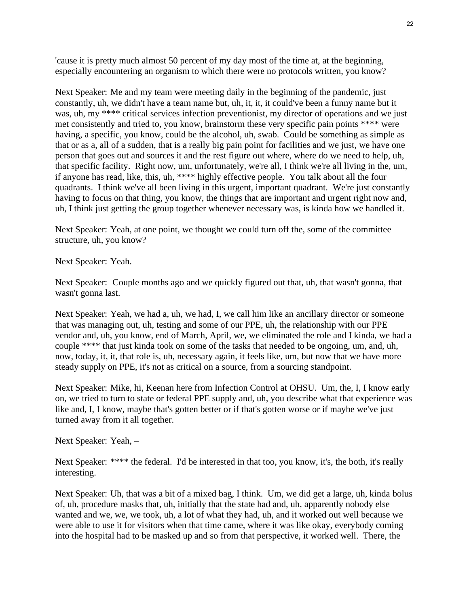'cause it is pretty much almost 50 percent of my day most of the time at, at the beginning, especially encountering an organism to which there were no protocols written, you know?

Next Speaker: Me and my team were meeting daily in the beginning of the pandemic, just constantly, uh, we didn't have a team name but, uh, it, it, it could've been a funny name but it was, uh, my \*\*\*\* critical services infection preventionist, my director of operations and we just met consistently and tried to, you know, brainstorm these very specific pain points \*\*\*\* were having, a specific, you know, could be the alcohol, uh, swab. Could be something as simple as that or as a, all of a sudden, that is a really big pain point for facilities and we just, we have one person that goes out and sources it and the rest figure out where, where do we need to help, uh, that specific facility. Right now, um, unfortunately, we're all, I think we're all living in the, um, if anyone has read, like, this, uh, \*\*\*\* highly effective people. You talk about all the four quadrants. I think we've all been living in this urgent, important quadrant. We're just constantly having to focus on that thing, you know, the things that are important and urgent right now and, uh, I think just getting the group together whenever necessary was, is kinda how we handled it.

Next Speaker: Yeah, at one point, we thought we could turn off the, some of the committee structure, uh, you know?

Next Speaker: Yeah.

Next Speaker: Couple months ago and we quickly figured out that, uh, that wasn't gonna, that wasn't gonna last.

Next Speaker: Yeah, we had a, uh, we had, I, we call him like an ancillary director or someone that was managing out, uh, testing and some of our PPE, uh, the relationship with our PPE vendor and, uh, you know, end of March, April, we, we eliminated the role and I kinda, we had a couple \*\*\*\* that just kinda took on some of the tasks that needed to be ongoing, um, and, uh, now, today, it, it, that role is, uh, necessary again, it feels like, um, but now that we have more steady supply on PPE, it's not as critical on a source, from a sourcing standpoint.

Next Speaker: Mike, hi, Keenan here from Infection Control at OHSU. Um, the, I, I know early on, we tried to turn to state or federal PPE supply and, uh, you describe what that experience was like and, I, I know, maybe that's gotten better or if that's gotten worse or if maybe we've just turned away from it all together.

Next Speaker: Yeah, –

Next Speaker: \*\*\*\* the federal. I'd be interested in that too, you know, it's, the both, it's really interesting.

Next Speaker: Uh, that was a bit of a mixed bag, I think. Um, we did get a large, uh, kinda bolus of, uh, procedure masks that, uh, initially that the state had and, uh, apparently nobody else wanted and we, we, we took, uh, a lot of what they had, uh, and it worked out well because we were able to use it for visitors when that time came, where it was like okay, everybody coming into the hospital had to be masked up and so from that perspective, it worked well. There, the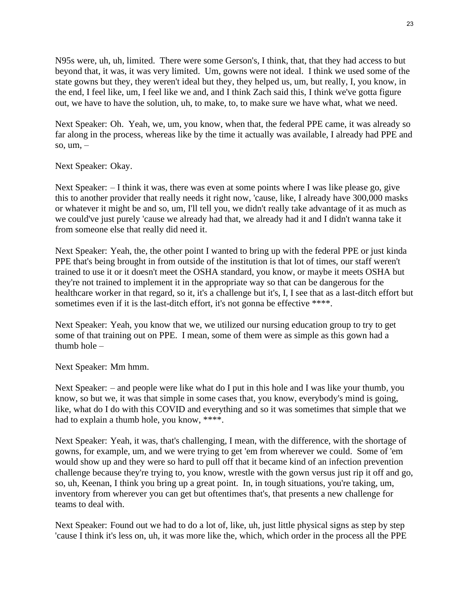N95s were, uh, uh, limited. There were some Gerson's, I think, that, that they had access to but beyond that, it was, it was very limited. Um, gowns were not ideal. I think we used some of the state gowns but they, they weren't ideal but they, they helped us, um, but really, I, you know, in the end, I feel like, um, I feel like we and, and I think Zach said this, I think we've gotta figure out, we have to have the solution, uh, to make, to, to make sure we have what, what we need.

Next Speaker: Oh. Yeah, we, um, you know, when that, the federal PPE came, it was already so far along in the process, whereas like by the time it actually was available, I already had PPE and so, um, –

Next Speaker: Okay.

Next Speaker:  $-$  I think it was, there was even at some points where I was like please go, give this to another provider that really needs it right now, 'cause, like, I already have 300,000 masks or whatever it might be and so, um, I'll tell you, we didn't really take advantage of it as much as we could've just purely 'cause we already had that, we already had it and I didn't wanna take it from someone else that really did need it.

Next Speaker: Yeah, the, the other point I wanted to bring up with the federal PPE or just kinda PPE that's being brought in from outside of the institution is that lot of times, our staff weren't trained to use it or it doesn't meet the OSHA standard, you know, or maybe it meets OSHA but they're not trained to implement it in the appropriate way so that can be dangerous for the healthcare worker in that regard, so it, it's a challenge but it's, I, I see that as a last-ditch effort but sometimes even if it is the last-ditch effort, it's not gonna be effective \*\*\*\*.

Next Speaker: Yeah, you know that we, we utilized our nursing education group to try to get some of that training out on PPE. I mean, some of them were as simple as this gown had a thumb hole –

Next Speaker: Mm hmm.

Next Speaker: – and people were like what do I put in this hole and I was like your thumb, you know, so but we, it was that simple in some cases that, you know, everybody's mind is going, like, what do I do with this COVID and everything and so it was sometimes that simple that we had to explain a thumb hole, you know, \*\*\*\*.

Next Speaker: Yeah, it was, that's challenging, I mean, with the difference, with the shortage of gowns, for example, um, and we were trying to get 'em from wherever we could. Some of 'em would show up and they were so hard to pull off that it became kind of an infection prevention challenge because they're trying to, you know, wrestle with the gown versus just rip it off and go, so, uh, Keenan, I think you bring up a great point. In, in tough situations, you're taking, um, inventory from wherever you can get but oftentimes that's, that presents a new challenge for teams to deal with.

Next Speaker: Found out we had to do a lot of, like, uh, just little physical signs as step by step 'cause I think it's less on, uh, it was more like the, which, which order in the process all the PPE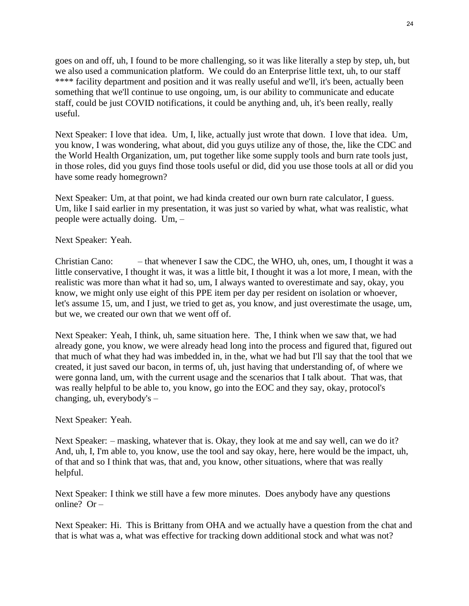goes on and off, uh, I found to be more challenging, so it was like literally a step by step, uh, but we also used a communication platform. We could do an Enterprise little text, uh, to our staff \*\*\*\* facility department and position and it was really useful and we'll, it's been, actually been something that we'll continue to use ongoing, um, is our ability to communicate and educate staff, could be just COVID notifications, it could be anything and, uh, it's been really, really useful.

Next Speaker: I love that idea. Um, I, like, actually just wrote that down. I love that idea. Um, you know, I was wondering, what about, did you guys utilize any of those, the, like the CDC and the World Health Organization, um, put together like some supply tools and burn rate tools just, in those roles, did you guys find those tools useful or did, did you use those tools at all or did you have some ready homegrown?

Next Speaker: Um, at that point, we had kinda created our own burn rate calculator, I guess. Um, like I said earlier in my presentation, it was just so varied by what, what was realistic, what people were actually doing. Um, –

Next Speaker: Yeah.

Christian Cano: – that whenever I saw the CDC, the WHO, uh, ones, um, I thought it was a little conservative, I thought it was, it was a little bit, I thought it was a lot more, I mean, with the realistic was more than what it had so, um, I always wanted to overestimate and say, okay, you know, we might only use eight of this PPE item per day per resident on isolation or whoever, let's assume 15, um, and I just, we tried to get as, you know, and just overestimate the usage, um, but we, we created our own that we went off of.

Next Speaker: Yeah, I think, uh, same situation here. The, I think when we saw that, we had already gone, you know, we were already head long into the process and figured that, figured out that much of what they had was imbedded in, in the, what we had but I'll say that the tool that we created, it just saved our bacon, in terms of, uh, just having that understanding of, of where we were gonna land, um, with the current usage and the scenarios that I talk about. That was, that was really helpful to be able to, you know, go into the EOC and they say, okay, protocol's changing, uh, everybody's –

Next Speaker: Yeah.

Next Speaker: – masking, whatever that is. Okay, they look at me and say well, can we do it? And, uh, I, I'm able to, you know, use the tool and say okay, here, here would be the impact, uh, of that and so I think that was, that and, you know, other situations, where that was really helpful.

Next Speaker: I think we still have a few more minutes. Does anybody have any questions online? Or –

Next Speaker: Hi. This is Brittany from OHA and we actually have a question from the chat and that is what was a, what was effective for tracking down additional stock and what was not?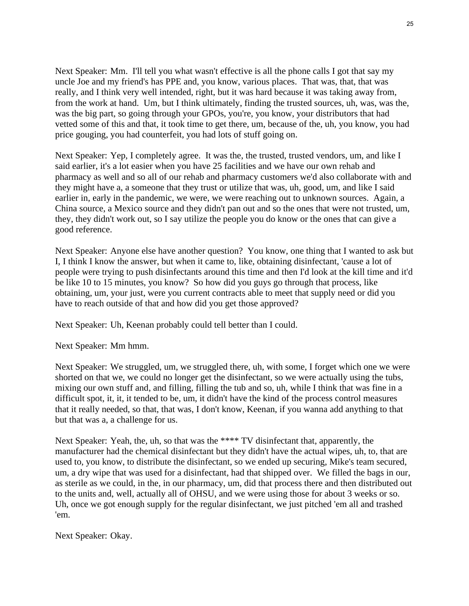Next Speaker: Mm. I'll tell you what wasn't effective is all the phone calls I got that say my uncle Joe and my friend's has PPE and, you know, various places. That was, that, that was really, and I think very well intended, right, but it was hard because it was taking away from, from the work at hand. Um, but I think ultimately, finding the trusted sources, uh, was, was the, was the big part, so going through your GPOs, you're, you know, your distributors that had vetted some of this and that, it took time to get there, um, because of the, uh, you know, you had price gouging, you had counterfeit, you had lots of stuff going on.

Next Speaker: Yep, I completely agree. It was the, the trusted, trusted vendors, um, and like I said earlier, it's a lot easier when you have 25 facilities and we have our own rehab and pharmacy as well and so all of our rehab and pharmacy customers we'd also collaborate with and they might have a, a someone that they trust or utilize that was, uh, good, um, and like I said earlier in, early in the pandemic, we were, we were reaching out to unknown sources. Again, a China source, a Mexico source and they didn't pan out and so the ones that were not trusted, um, they, they didn't work out, so I say utilize the people you do know or the ones that can give a good reference.

Next Speaker: Anyone else have another question? You know, one thing that I wanted to ask but I, I think I know the answer, but when it came to, like, obtaining disinfectant, 'cause a lot of people were trying to push disinfectants around this time and then I'd look at the kill time and it'd be like 10 to 15 minutes, you know? So how did you guys go through that process, like obtaining, um, your just, were you current contracts able to meet that supply need or did you have to reach outside of that and how did you get those approved?

Next Speaker: Uh, Keenan probably could tell better than I could.

Next Speaker: Mm hmm.

Next Speaker: We struggled, um, we struggled there, uh, with some, I forget which one we were shorted on that we, we could no longer get the disinfectant, so we were actually using the tubs, mixing our own stuff and, and filling, filling the tub and so, uh, while I think that was fine in a difficult spot, it, it, it tended to be, um, it didn't have the kind of the process control measures that it really needed, so that, that was, I don't know, Keenan, if you wanna add anything to that but that was a, a challenge for us.

Next Speaker: Yeah, the, uh, so that was the \*\*\*\* TV disinfectant that, apparently, the manufacturer had the chemical disinfectant but they didn't have the actual wipes, uh, to, that are used to, you know, to distribute the disinfectant, so we ended up securing, Mike's team secured, um, a dry wipe that was used for a disinfectant, had that shipped over. We filled the bags in our, as sterile as we could, in the, in our pharmacy, um, did that process there and then distributed out to the units and, well, actually all of OHSU, and we were using those for about 3 weeks or so. Uh, once we got enough supply for the regular disinfectant, we just pitched 'em all and trashed 'em.

Next Speaker: Okay.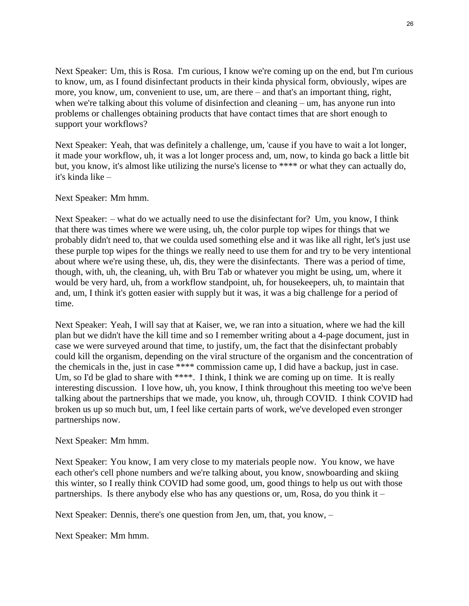Next Speaker: Um, this is Rosa. I'm curious, I know we're coming up on the end, but I'm curious to know, um, as I found disinfectant products in their kinda physical form, obviously, wipes are more, you know, um, convenient to use, um, are there – and that's an important thing, right, when we're talking about this volume of disinfection and cleaning – um, has anyone run into problems or challenges obtaining products that have contact times that are short enough to support your workflows?

Next Speaker: Yeah, that was definitely a challenge, um, 'cause if you have to wait a lot longer, it made your workflow, uh, it was a lot longer process and, um, now, to kinda go back a little bit but, you know, it's almost like utilizing the nurse's license to \*\*\*\* or what they can actually do, it's kinda like –

Next Speaker: Mm hmm.

Next Speaker: – what do we actually need to use the disinfectant for? Um, you know, I think that there was times where we were using, uh, the color purple top wipes for things that we probably didn't need to, that we coulda used something else and it was like all right, let's just use these purple top wipes for the things we really need to use them for and try to be very intentional about where we're using these, uh, dis, they were the disinfectants. There was a period of time, though, with, uh, the cleaning, uh, with Bru Tab or whatever you might be using, um, where it would be very hard, uh, from a workflow standpoint, uh, for housekeepers, uh, to maintain that and, um, I think it's gotten easier with supply but it was, it was a big challenge for a period of time.

Next Speaker: Yeah, I will say that at Kaiser, we, we ran into a situation, where we had the kill plan but we didn't have the kill time and so I remember writing about a 4-page document, just in case we were surveyed around that time, to justify, um, the fact that the disinfectant probably could kill the organism, depending on the viral structure of the organism and the concentration of the chemicals in the, just in case \*\*\*\* commission came up, I did have a backup, just in case. Um, so I'd be glad to share with \*\*\*\*. I think, I think we are coming up on time. It is really interesting discussion. I love how, uh, you know, I think throughout this meeting too we've been talking about the partnerships that we made, you know, uh, through COVID. I think COVID had broken us up so much but, um, I feel like certain parts of work, we've developed even stronger partnerships now.

Next Speaker: Mm hmm.

Next Speaker: You know, I am very close to my materials people now. You know, we have each other's cell phone numbers and we're talking about, you know, snowboarding and skiing this winter, so I really think COVID had some good, um, good things to help us out with those partnerships. Is there anybody else who has any questions or, um, Rosa, do you think it –

Next Speaker: Dennis, there's one question from Jen, um, that, you know, –

Next Speaker: Mm hmm.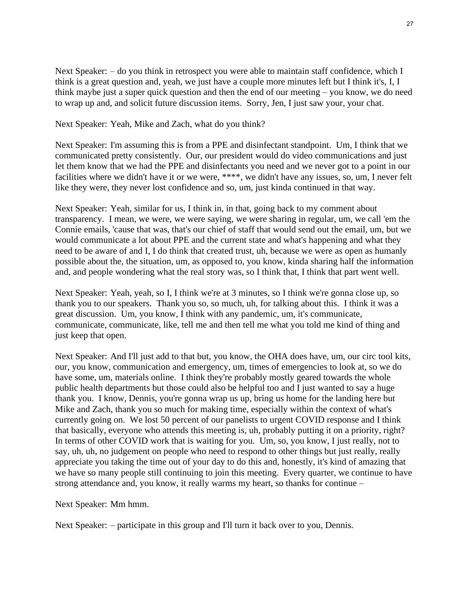27

Next Speaker:  $-$  do you think in retrospect you were able to maintain staff confidence, which I think is a great question and, yeah, we just have a couple more minutes left but I think it's, I, I think maybe just a super quick question and then the end of our meeting – you know, we do need to wrap up and, and solicit future discussion items. Sorry, Jen, I just saw your, your chat.

## Next Speaker: Yeah, Mike and Zach, what do you think?

Next Speaker: I'm assuming this is from a PPE and disinfectant standpoint. Um, I think that we communicated pretty consistently. Our, our president would do video communications and just let them know that we had the PPE and disinfectants you need and we never got to a point in our facilities where we didn't have it or we were, \*\*\*\*, we didn't have any issues, so, um, I never felt like they were, they never lost confidence and so, um, just kinda continued in that way.

Next Speaker: Yeah, similar for us, I think in, in that, going back to my comment about transparency. I mean, we were, we were saying, we were sharing in regular, um, we call 'em the Connie emails, 'cause that was, that's our chief of staff that would send out the email, um, but we would communicate a lot about PPE and the current state and what's happening and what they need to be aware of and I, I do think that created trust, uh, because we were as open as humanly possible about the, the situation, um, as opposed to, you know, kinda sharing half the information and, and people wondering what the real story was, so I think that, I think that part went well.

Next Speaker: Yeah, yeah, so I, I think we're at 3 minutes, so I think we're gonna close up, so thank you to our speakers. Thank you so, so much, uh, for talking about this. I think it was a great discussion. Um, you know, I think with any pandemic, um, it's communicate, communicate, communicate, like, tell me and then tell me what you told me kind of thing and just keep that open.

Next Speaker: And I'll just add to that but, you know, the OHA does have, um, our circ tool kits, our, you know, communication and emergency, um, times of emergencies to look at, so we do have some, um, materials online. I think they're probably mostly geared towards the whole public health departments but those could also be helpful too and I just wanted to say a huge thank you. I know, Dennis, you're gonna wrap us up, bring us home for the landing here but Mike and Zach, thank you so much for making time, especially within the context of what's currently going on. We lost 50 percent of our panelists to urgent COVID response and I think that basically, everyone who attends this meeting is, uh, probably putting it on a priority, right? In terms of other COVID work that is waiting for you. Um, so, you know, I just really, not to say, uh, uh, no judgement on people who need to respond to other things but just really, really appreciate you taking the time out of your day to do this and, honestly, it's kind of amazing that we have so many people still continuing to join this meeting. Every quarter, we continue to have strong attendance and, you know, it really warms my heart, so thanks for continue –

Next Speaker: Mm hmm.

Next Speaker: – participate in this group and I'll turn it back over to you, Dennis.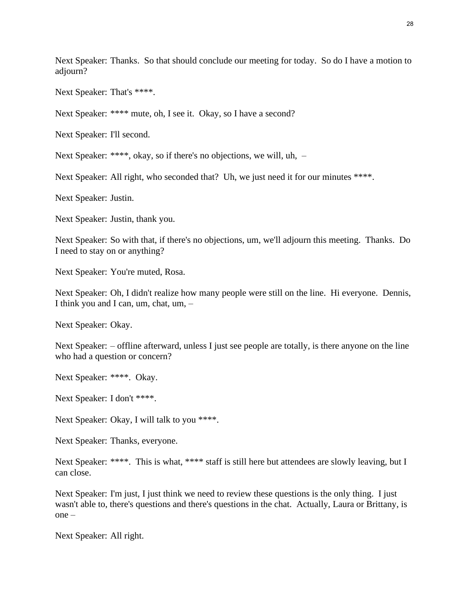Next Speaker: Thanks. So that should conclude our meeting for today. So do I have a motion to adjourn?

Next Speaker: That's \*\*\*\*.

Next Speaker: \*\*\*\* mute, oh, I see it. Okay, so I have a second?

Next Speaker: I'll second.

Next Speaker: \*\*\*\*, okay, so if there's no objections, we will, uh,  $-$ 

Next Speaker: All right, who seconded that? Uh, we just need it for our minutes \*\*\*\*.

Next Speaker: Justin.

Next Speaker: Justin, thank you.

Next Speaker: So with that, if there's no objections, um, we'll adjourn this meeting. Thanks. Do I need to stay on or anything?

Next Speaker: You're muted, Rosa.

Next Speaker: Oh, I didn't realize how many people were still on the line. Hi everyone. Dennis, I think you and I can, um, chat, um, –

Next Speaker: Okay.

Next Speaker: – offline afterward, unless I just see people are totally, is there anyone on the line who had a question or concern?

Next Speaker: \*\*\*\*. Okay.

Next Speaker: I don't \*\*\*\*.

Next Speaker: Okay, I will talk to you \*\*\*\*.

Next Speaker: Thanks, everyone.

Next Speaker: \*\*\*\*. This is what, \*\*\*\* staff is still here but attendees are slowly leaving, but I can close.

Next Speaker: I'm just, I just think we need to review these questions is the only thing. I just wasn't able to, there's questions and there's questions in the chat. Actually, Laura or Brittany, is one –

Next Speaker: All right.